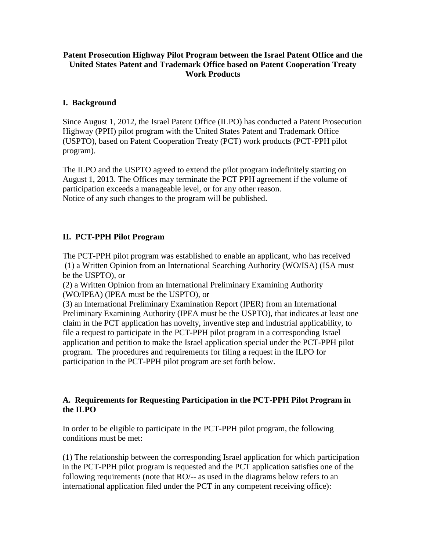## **Patent Prosecution Highway Pilot Program between the Israel Patent Office and the United States Patent and Trademark Office based on Patent Cooperation Treaty Work Products**

## **I. Background**

Since August 1, 2012, the Israel Patent Office (ILPO) has conducted a Patent Prosecution Highway (PPH) pilot program with the United States Patent and Trademark Office (USPTO), based on Patent Cooperation Treaty (PCT) work products (PCT-PPH pilot program).

The ILPO and the USPTO agreed to extend the pilot program indefinitely starting on August 1, 2013. The Offices may terminate the PCT PPH agreement if the volume of participation exceeds a manageable level, or for any other reason. Notice of any such changes to the program will be published.

## **II. PCT-PPH Pilot Program**

The PCT-PPH pilot program was established to enable an applicant, who has received (1) a Written Opinion from an International Searching Authority (WO/ISA) (ISA must be the USPTO), or

(2) a Written Opinion from an International Preliminary Examining Authority (WO/IPEA) (IPEA must be the USPTO), or

(3) an International Preliminary Examination Report (IPER) from an International Preliminary Examining Authority (IPEA must be the USPTO), that indicates at least one claim in the PCT application has novelty, inventive step and industrial applicability, to file a request to participate in the PCT-PPH pilot program in a corresponding Israel application and petition to make the Israel application special under the PCT-PPH pilot program. The procedures and requirements for filing a request in the ILPO for participation in the PCT-PPH pilot program are set forth below.

## **A. Requirements for Requesting Participation in the PCT-PPH Pilot Program in the ILPO**

In order to be eligible to participate in the PCT-PPH pilot program, the following conditions must be met:

(1) The relationship between the corresponding Israel application for which participation in the PCT-PPH pilot program is requested and the PCT application satisfies one of the following requirements (note that RO/-- as used in the diagrams below refers to an international application filed under the PCT in any competent receiving office):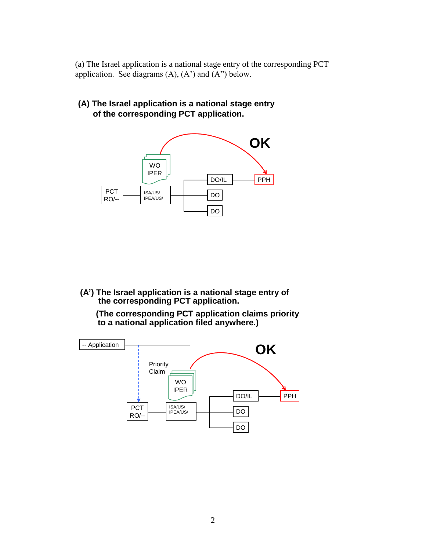(a) The Israel application is a national stage entry of the corresponding PCT application. See diagrams  $(A)$ ,  $(A')$  and  $(A'')$  below.

**(A) The Israel application is a national stage entry of the corresponding PCT application.**



**(A') The Israel application is a national stage entry of the corresponding PCT application.**

**(The corresponding PCT application claims priority to a national application filed anywhere.)**

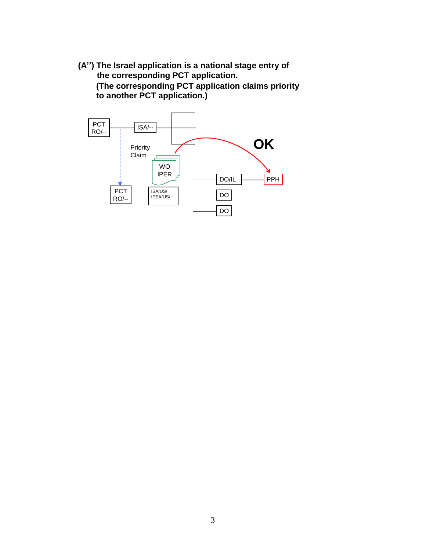**(A'') The Israel application is a national stage entry of the corresponding PCT application. (The corresponding PCT application claims priority to another PCT application.)**

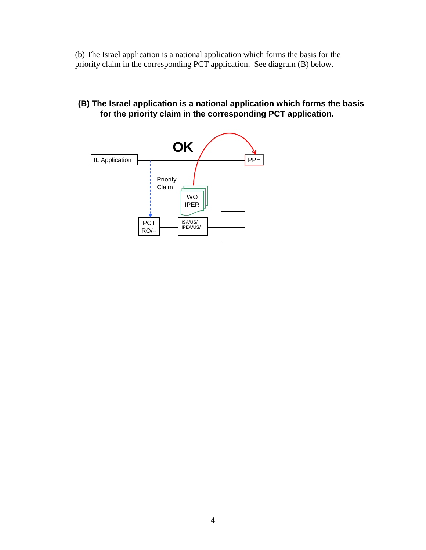(b) The Israel application is a national application which forms the basis for the priority claim in the corresponding PCT application. See diagram (B) below.

**(B) The Israel application is a national application which forms the basis for the priority claim in the corresponding PCT application.**

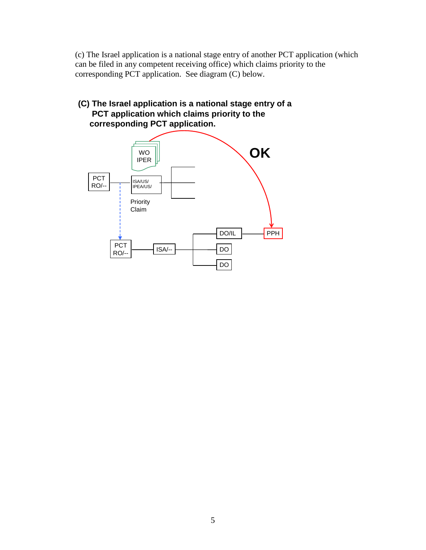(c) The Israel application is a national stage entry of another PCT application (which can be filed in any competent receiving office) which claims priority to the corresponding PCT application. See diagram (C) below.

# **(C) The Israel application is a national stage entry of a PCT application which claims priority to the corresponding PCT application.**

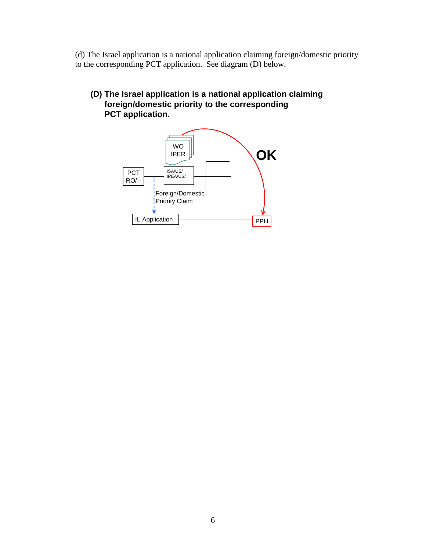(d) The Israel application is a national application claiming foreign/domestic priority to the corresponding PCT application. See diagram (D) below.

**(D) The Israel application is a national application claiming foreign/domestic priority to the corresponding PCT application.** 

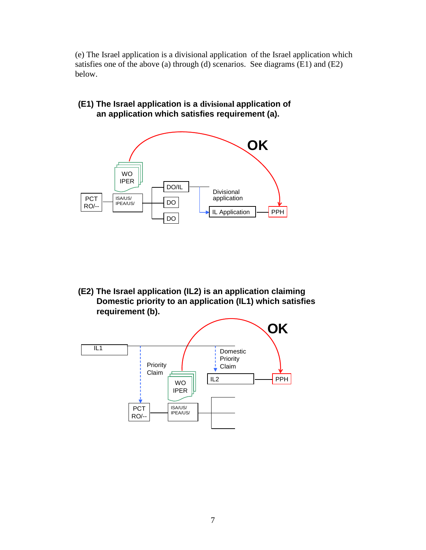(e) The Israel application is a divisional application of the Israel application which satisfies one of the above (a) through (d) scenarios. See diagrams (E1) and (E2) below.

**(E1) The Israel application is a divisional application of an application which satisfies requirement (a).** 



**(E2) The Israel application (IL2) is an application claiming Domestic priority to an application (IL1) which satisfies requirement (b).** 

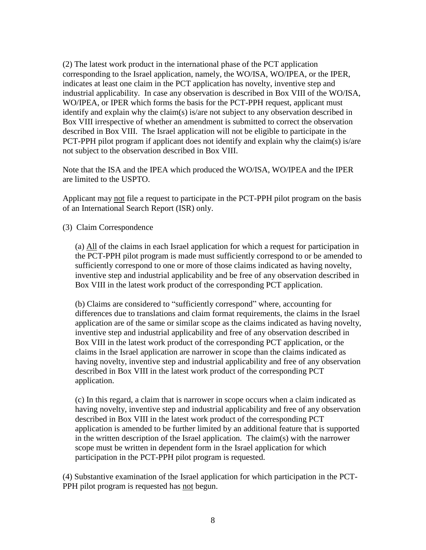(2) The latest work product in the international phase of the PCT application corresponding to the Israel application, namely, the WO/ISA, WO/IPEA, or the IPER, indicates at least one claim in the PCT application has novelty, inventive step and industrial applicability. In case any observation is described in Box VIII of the WO/ISA, WO/IPEA, or IPER which forms the basis for the PCT-PPH request, applicant must identify and explain why the claim(s) is/are not subject to any observation described in Box VIII irrespective of whether an amendment is submitted to correct the observation described in Box VIII. The Israel application will not be eligible to participate in the PCT-PPH pilot program if applicant does not identify and explain why the claim(s) is/are not subject to the observation described in Box VIII.

Note that the ISA and the IPEA which produced the WO/ISA, WO/IPEA and the IPER are limited to the USPTO.

Applicant may not file a request to participate in the PCT-PPH pilot program on the basis of an International Search Report (ISR) only.

(3) Claim Correspondence

(a) All of the claims in each Israel application for which a request for participation in the PCT-PPH pilot program is made must sufficiently correspond to or be amended to sufficiently correspond to one or more of those claims indicated as having novelty, inventive step and industrial applicability and be free of any observation described in Box VIII in the latest work product of the corresponding PCT application.

(b) Claims are considered to "sufficiently correspond" where, accounting for differences due to translations and claim format requirements, the claims in the Israel application are of the same or similar scope as the claims indicated as having novelty, inventive step and industrial applicability and free of any observation described in Box VIII in the latest work product of the corresponding PCT application, or the claims in the Israel application are narrower in scope than the claims indicated as having novelty, inventive step and industrial applicability and free of any observation described in Box VIII in the latest work product of the corresponding PCT application.

(c) In this regard, a claim that is narrower in scope occurs when a claim indicated as having novelty, inventive step and industrial applicability and free of any observation described in Box VIII in the latest work product of the corresponding PCT application is amended to be further limited by an additional feature that is supported in the written description of the Israel application. The claim(s) with the narrower scope must be written in dependent form in the Israel application for which participation in the PCT-PPH pilot program is requested.

(4) Substantive examination of the Israel application for which participation in the PCT-PPH pilot program is requested has not begun.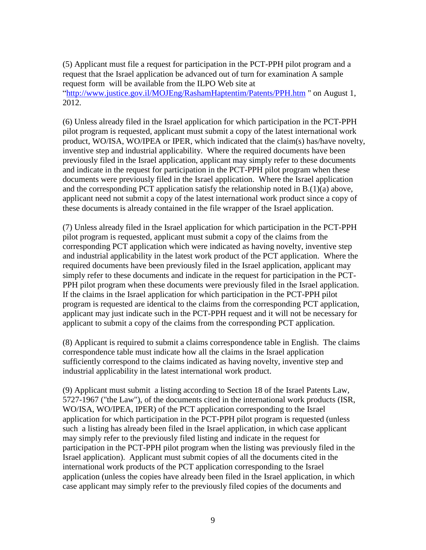(5) Applicant must file a request for participation in the PCT-PPH pilot program and a request that the Israel application be advanced out of turn for examination A sample request form will be available from the ILPO Web site at ["http://www.justice.gov.il/MOJEng/RashamHaptentim/Patents/PPH.](http://www.justice.gov.il/MOJEng/RashamHaptentim/Patents/PPH)htm " on August 1, 2012.

(6) Unless already filed in the Israel application for which participation in the PCT-PPH pilot program is requested, applicant must submit a copy of the latest international work product, WO/ISA, WO/IPEA or IPER, which indicated that the claim(s) has/have novelty, inventive step and industrial applicability. Where the required documents have been previously filed in the Israel application, applicant may simply refer to these documents and indicate in the request for participation in the PCT-PPH pilot program when these documents were previously filed in the Israel application. Where the Israel application and the corresponding PCT application satisfy the relationship noted in B.(1)(a) above, applicant need not submit a copy of the latest international work product since a copy of these documents is already contained in the file wrapper of the Israel application.

(7) Unless already filed in the Israel application for which participation in the PCT-PPH pilot program is requested, applicant must submit a copy of the claims from the corresponding PCT application which were indicated as having novelty, inventive step and industrial applicability in the latest work product of the PCT application. Where the required documents have been previously filed in the Israel application, applicant may simply refer to these documents and indicate in the request for participation in the PCT-PPH pilot program when these documents were previously filed in the Israel application. If the claims in the Israel application for which participation in the PCT-PPH pilot program is requested are identical to the claims from the corresponding PCT application, applicant may just indicate such in the PCT-PPH request and it will not be necessary for applicant to submit a copy of the claims from the corresponding PCT application.

(8) Applicant is required to submit a claims correspondence table in English. The claims correspondence table must indicate how all the claims in the Israel application sufficiently correspond to the claims indicated as having novelty, inventive step and industrial applicability in the latest international work product.

(9) Applicant must submit a listing according to Section 18 of the Israel Patents Law, 5727-1967 ("the Law"), of the documents cited in the international work products (ISR, WO/ISA, WO/IPEA, IPER) of the PCT application corresponding to the Israel application for which participation in the PCT-PPH pilot program is requested (unless such a listing has already been filed in the Israel application, in which case applicant may simply refer to the previously filed listing and indicate in the request for participation in the PCT-PPH pilot program when the listing was previously filed in the Israel application). Applicant must submit copies of all the documents cited in the international work products of the PCT application corresponding to the Israel application (unless the copies have already been filed in the Israel application, in which case applicant may simply refer to the previously filed copies of the documents and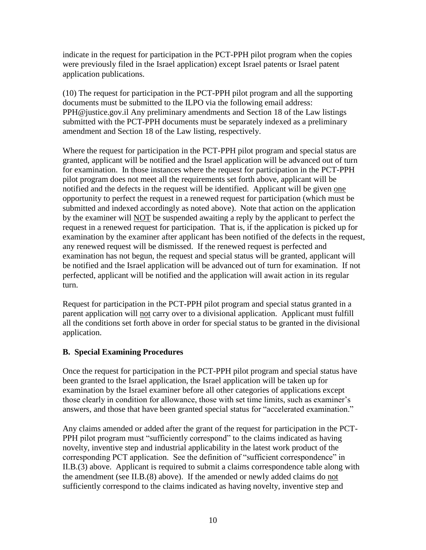indicate in the request for participation in the PCT-PPH pilot program when the copies were previously filed in the Israel application) except Israel patents or Israel patent application publications.

(10) The request for participation in the PCT-PPH pilot program and all the supporting documents must be submitted to the ILPO via the following email address: PPH@justice.gov.il Any preliminary amendments and Section 18 of the Law listings submitted with the PCT-PPH documents must be separately indexed as a preliminary amendment and Section 18 of the Law listing, respectively.

Where the request for participation in the PCT-PPH pilot program and special status are granted, applicant will be notified and the Israel application will be advanced out of turn for examination. In those instances where the request for participation in the PCT-PPH pilot program does not meet all the requirements set forth above, applicant will be notified and the defects in the request will be identified. Applicant will be given one opportunity to perfect the request in a renewed request for participation (which must be submitted and indexed accordingly as noted above). Note that action on the application by the examiner will NOT be suspended awaiting a reply by the applicant to perfect the request in a renewed request for participation. That is, if the application is picked up for examination by the examiner after applicant has been notified of the defects in the request, any renewed request will be dismissed. If the renewed request is perfected and examination has not begun, the request and special status will be granted, applicant will be notified and the Israel application will be advanced out of turn for examination. If not perfected, applicant will be notified and the application will await action in its regular turn.

Request for participation in the PCT-PPH pilot program and special status granted in a parent application will not carry over to a divisional application. Applicant must fulfill all the conditions set forth above in order for special status to be granted in the divisional application.

## **B. Special Examining Procedures**

Once the request for participation in the PCT-PPH pilot program and special status have been granted to the Israel application, the Israel application will be taken up for examination by the Israel examiner before all other categories of applications except those clearly in condition for allowance, those with set time limits, such as examiner's answers, and those that have been granted special status for "accelerated examination."

Any claims amended or added after the grant of the request for participation in the PCT-PPH pilot program must "sufficiently correspond" to the claims indicated as having novelty, inventive step and industrial applicability in the latest work product of the corresponding PCT application. See the definition of "sufficient correspondence" in II.B.(3) above. Applicant is required to submit a claims correspondence table along with the amendment (see II.B.(8) above). If the amended or newly added claims do not sufficiently correspond to the claims indicated as having novelty, inventive step and